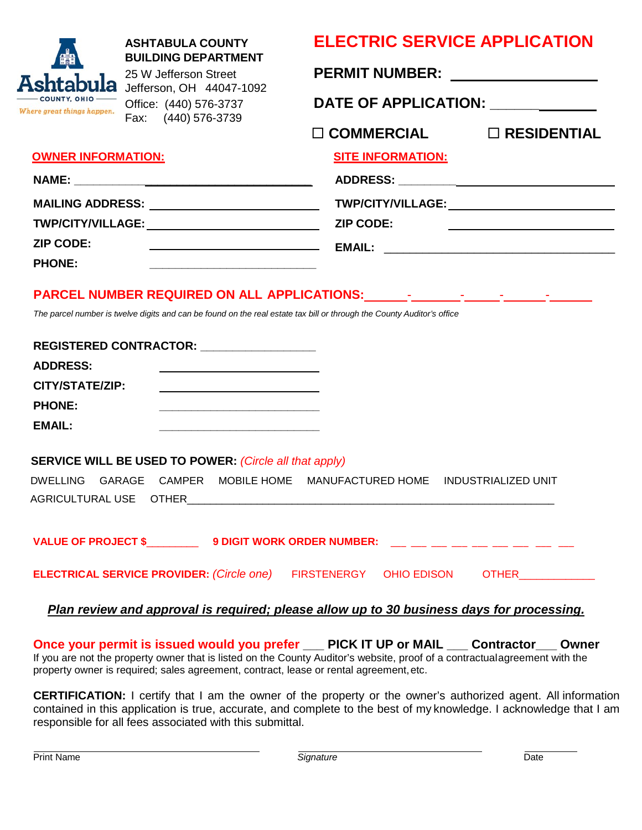| <b>ASHTABULA COUNTY</b><br><b>BUILDING DEPARTMENT</b><br>25 W Jefferson Street<br>Jefferson, OH 44047-1092<br>Office: (440) 576-3737<br>Where great things happen.<br>Fax: (440) 576-3739<br><b>OWNER INFORMATION:</b><br>MAILING ADDRESS: New York Contract Contract Contract Contract Contract Contract Contract Contract Contract Contract Contract Contract Contract Contract Contract Contract Contract Contract Contract Contract Contract Contrac<br>TWP/CITY/VILLAGE: ZIP CODE:<br><b>ZIP CODE:</b><br><b>PHONE:</b> | <b>ELECTRIC SERVICE APPLICATION</b><br>PERMIT NUMBER: _________________<br>DATE OF APPLICATION: _____________<br>$\Box$ COMMERCIAL $\Box$ RESIDENTIAL<br><b>SITE INFORMATION:</b><br>TWP/CITY/VILLAGE:________________________________ |
|------------------------------------------------------------------------------------------------------------------------------------------------------------------------------------------------------------------------------------------------------------------------------------------------------------------------------------------------------------------------------------------------------------------------------------------------------------------------------------------------------------------------------|----------------------------------------------------------------------------------------------------------------------------------------------------------------------------------------------------------------------------------------|
| The parcel number is twelve digits and can be found on the real estate tax bill or through the County Auditor's office<br>REGISTERED CONTRACTOR: _________________<br><b>ADDRESS:</b><br>CITY/STATE/ZIP:<br><b>PHONE:</b><br><b>EMAIL:</b><br><u> 1989 - Johann Harry Harry Harry Harry Harry Harry Harry Harry Harry Harry Harry Harry Harry Harry Harry Harry</u>                                                                                                                                                          |                                                                                                                                                                                                                                        |
| SERVICE WILL BE USED TO POWER: (Circle all that apply)<br><b>DWELLING</b><br>GARAGE  CAMPER  MOBILE HOME  MANUFACTURED HOME                                                                                                                                                                                                                                                                                                                                                                                                  | <b>INDUSTRIALIZED UNIT</b><br>ELECTRICAL SERVICE PROVIDER: (Circle one) FIRSTENERGY OHIO EDISON OTHER__________                                                                                                                        |
|                                                                                                                                                                                                                                                                                                                                                                                                                                                                                                                              | Plan review and approval is required; please allow up to 30 business days for processing.                                                                                                                                              |

**Once your permit is issued would you prefer \_\_\_ PICK IT UP or MAIL \_\_\_ Contractor\_\_\_ Owner** If you are not the property owner that is listed on the County Auditor's website, proof of a contractualagreement with the property owner is required; sales agreement, contract, lease or rental agreement,etc.

**CERTIFICATION:** I certify that I am the owner of the property or the owner's authorized agent. All information contained in this application is true, accurate, and complete to the best of my knowledge. I acknowledge that I am responsible for all fees associated with this submittal.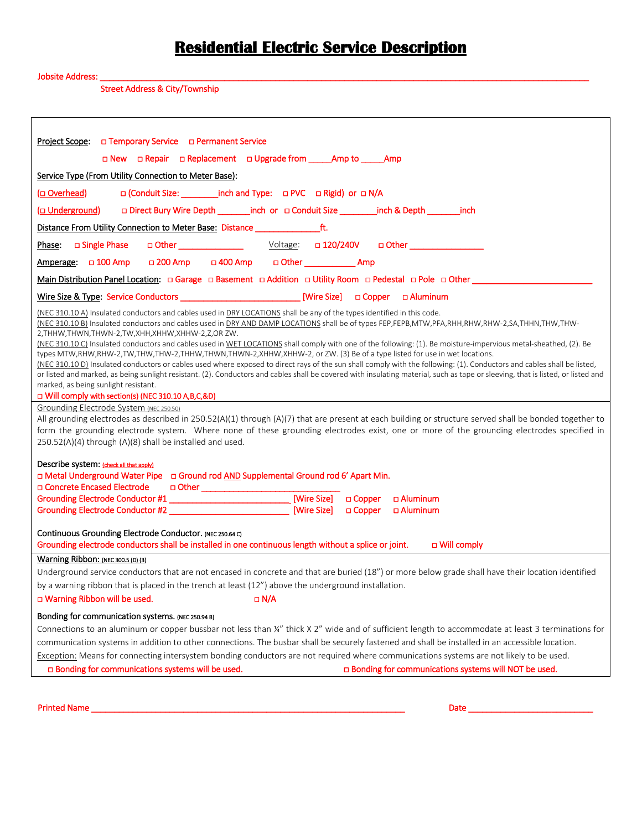## **Residential Electric Service Description**

## Jobsite Address: \_\_\_\_\_\_\_\_\_\_\_\_\_\_\_\_\_\_\_\_\_\_\_\_\_\_\_\_\_\_\_\_\_\_\_\_\_\_\_\_\_\_\_\_\_\_\_\_\_\_\_\_\_\_\_\_\_\_\_\_\_\_\_\_\_\_\_\_\_\_\_\_\_\_\_\_\_\_\_\_\_\_\_\_\_\_\_\_\_\_\_\_\_\_\_\_\_\_\_\_\_\_\_\_\_\_

Street Address & City/Township

| Project Scope:<br>D Temporary Service D Permanent Service                                                                                                                                                                                                                                                                                                                                                                                                                                                                                                                                                                                                                                                                                                                                                                                                                                                                                                                                                                                                                                                                                                                                                                                                                                                                                                                                                                                                                                                                                                                                                                                                                               |  |  |
|-----------------------------------------------------------------------------------------------------------------------------------------------------------------------------------------------------------------------------------------------------------------------------------------------------------------------------------------------------------------------------------------------------------------------------------------------------------------------------------------------------------------------------------------------------------------------------------------------------------------------------------------------------------------------------------------------------------------------------------------------------------------------------------------------------------------------------------------------------------------------------------------------------------------------------------------------------------------------------------------------------------------------------------------------------------------------------------------------------------------------------------------------------------------------------------------------------------------------------------------------------------------------------------------------------------------------------------------------------------------------------------------------------------------------------------------------------------------------------------------------------------------------------------------------------------------------------------------------------------------------------------------------------------------------------------------|--|--|
| □ New □ Repair □ Replacement □ Upgrade from ______ Amp to ______ Amp                                                                                                                                                                                                                                                                                                                                                                                                                                                                                                                                                                                                                                                                                                                                                                                                                                                                                                                                                                                                                                                                                                                                                                                                                                                                                                                                                                                                                                                                                                                                                                                                                    |  |  |
| Service Type (From Utility Connection to Meter Base):                                                                                                                                                                                                                                                                                                                                                                                                                                                                                                                                                                                                                                                                                                                                                                                                                                                                                                                                                                                                                                                                                                                                                                                                                                                                                                                                                                                                                                                                                                                                                                                                                                   |  |  |
| □ (Conduit Size: __________ inch and Type: □ PVC □ Rigid) or □ N/A<br>(Overhead)                                                                                                                                                                                                                                                                                                                                                                                                                                                                                                                                                                                                                                                                                                                                                                                                                                                                                                                                                                                                                                                                                                                                                                                                                                                                                                                                                                                                                                                                                                                                                                                                        |  |  |
|                                                                                                                                                                                                                                                                                                                                                                                                                                                                                                                                                                                                                                                                                                                                                                                                                                                                                                                                                                                                                                                                                                                                                                                                                                                                                                                                                                                                                                                                                                                                                                                                                                                                                         |  |  |
| □ Direct Bury Wire Depth ________inch_or □ Conduit Size __________inch & Depth ________inch<br><u>(□ Underground)</u>                                                                                                                                                                                                                                                                                                                                                                                                                                                                                                                                                                                                                                                                                                                                                                                                                                                                                                                                                                                                                                                                                                                                                                                                                                                                                                                                                                                                                                                                                                                                                                   |  |  |
| Distance From Utility Connection to Meter Base: Distance ________________________ ft.                                                                                                                                                                                                                                                                                                                                                                                                                                                                                                                                                                                                                                                                                                                                                                                                                                                                                                                                                                                                                                                                                                                                                                                                                                                                                                                                                                                                                                                                                                                                                                                                   |  |  |
|                                                                                                                                                                                                                                                                                                                                                                                                                                                                                                                                                                                                                                                                                                                                                                                                                                                                                                                                                                                                                                                                                                                                                                                                                                                                                                                                                                                                                                                                                                                                                                                                                                                                                         |  |  |
| Amperage: 0 100 Amp 0 200 Amp 0 400 Amp 0 0 Other _____________ Amp                                                                                                                                                                                                                                                                                                                                                                                                                                                                                                                                                                                                                                                                                                                                                                                                                                                                                                                                                                                                                                                                                                                                                                                                                                                                                                                                                                                                                                                                                                                                                                                                                     |  |  |
| Main Distribution Panel Location: D Garage D Basement D Addition D Utility Room D Pedestal D Pole D Other                                                                                                                                                                                                                                                                                                                                                                                                                                                                                                                                                                                                                                                                                                                                                                                                                                                                                                                                                                                                                                                                                                                                                                                                                                                                                                                                                                                                                                                                                                                                                                               |  |  |
|                                                                                                                                                                                                                                                                                                                                                                                                                                                                                                                                                                                                                                                                                                                                                                                                                                                                                                                                                                                                                                                                                                                                                                                                                                                                                                                                                                                                                                                                                                                                                                                                                                                                                         |  |  |
| (NEC 310.10 A) Insulated conductors and cables used in DRY LOCATIONS shall be any of the types identified in this code.<br>(NEC 310.10 B) Insulated conductors and cables used in DRY AND DAMP LOCATIONS shall be of types FEP,FEPB,MTW,PFA,RHH,RHW,RHW-2,SA,THHN,THW,THW-<br>2, THHW, THWN, THWN-2, TW, XHH, XHHW, XHHW-2, Z, OR ZW.<br>(NEC 310.10 C) Insulated conductors and cables used in WET LOCATIONS shall comply with one of the following: (1). Be moisture-impervious metal-sheathed, (2). Be<br>types MTW,RHW,RHW-2,TW,THW,THW-2,THHW,THWN,THWN-2,XHHW,XHHW-2, or ZW. (3) Be of a type listed for use in wet locations.<br>(NEC 310.10 D) Insulated conductors or cables used where exposed to direct rays of the sun shall comply with the following: (1). Conductors and cables shall be listed,<br>or listed and marked, as being sunlight resistant. (2). Conductors and cables shall be covered with insulating material, such as tape or sleeving, that is listed, or listed and<br>marked, as being sunlight resistant.<br>D Will comply with section(s) (NEC 310.10 A, B, C, &D)<br>Grounding Electrode System (NEC 250.50)<br>All grounding electrodes as described in 250.52(A)(1) through (A)(7) that are present at each building or structure served shall be bonded together to<br>form the grounding electrode system. Where none of these grounding electrodes exist, one or more of the grounding electrodes specified in<br>250.52(A)(4) through (A)(8) shall be installed and used.<br>Describe system: (check all that apply)<br>□ Metal Underground Water Pipe □ Ground rod AND Supplemental Ground rod 6' Apart Min.<br>□ Concrete Encased Electrode |  |  |
|                                                                                                                                                                                                                                                                                                                                                                                                                                                                                                                                                                                                                                                                                                                                                                                                                                                                                                                                                                                                                                                                                                                                                                                                                                                                                                                                                                                                                                                                                                                                                                                                                                                                                         |  |  |
|                                                                                                                                                                                                                                                                                                                                                                                                                                                                                                                                                                                                                                                                                                                                                                                                                                                                                                                                                                                                                                                                                                                                                                                                                                                                                                                                                                                                                                                                                                                                                                                                                                                                                         |  |  |
| Continuous Grounding Electrode Conductor. (NEC 250.64 C)<br>Grounding electrode conductors shall be installed in one continuous length without a splice or joint.<br>□ Will comply                                                                                                                                                                                                                                                                                                                                                                                                                                                                                                                                                                                                                                                                                                                                                                                                                                                                                                                                                                                                                                                                                                                                                                                                                                                                                                                                                                                                                                                                                                      |  |  |
| Warning Ribbon: (NEC 300.5 (D) (3)                                                                                                                                                                                                                                                                                                                                                                                                                                                                                                                                                                                                                                                                                                                                                                                                                                                                                                                                                                                                                                                                                                                                                                                                                                                                                                                                                                                                                                                                                                                                                                                                                                                      |  |  |
| Underground service conductors that are not encased in concrete and that are buried (18") or more below grade shall have their location identified                                                                                                                                                                                                                                                                                                                                                                                                                                                                                                                                                                                                                                                                                                                                                                                                                                                                                                                                                                                                                                                                                                                                                                                                                                                                                                                                                                                                                                                                                                                                      |  |  |
| by a warning ribbon that is placed in the trench at least (12") above the underground installation.                                                                                                                                                                                                                                                                                                                                                                                                                                                                                                                                                                                                                                                                                                                                                                                                                                                                                                                                                                                                                                                                                                                                                                                                                                                                                                                                                                                                                                                                                                                                                                                     |  |  |
| D Warning Ribbon will be used.<br>$\Box$ N/A                                                                                                                                                                                                                                                                                                                                                                                                                                                                                                                                                                                                                                                                                                                                                                                                                                                                                                                                                                                                                                                                                                                                                                                                                                                                                                                                                                                                                                                                                                                                                                                                                                            |  |  |
| Bonding for communication systems. (NEC 250.94 B)                                                                                                                                                                                                                                                                                                                                                                                                                                                                                                                                                                                                                                                                                                                                                                                                                                                                                                                                                                                                                                                                                                                                                                                                                                                                                                                                                                                                                                                                                                                                                                                                                                       |  |  |
| Connections to an aluminum or copper bussbar not less than ¼" thick X 2" wide and of sufficient length to accommodate at least 3 terminations for                                                                                                                                                                                                                                                                                                                                                                                                                                                                                                                                                                                                                                                                                                                                                                                                                                                                                                                                                                                                                                                                                                                                                                                                                                                                                                                                                                                                                                                                                                                                       |  |  |
|                                                                                                                                                                                                                                                                                                                                                                                                                                                                                                                                                                                                                                                                                                                                                                                                                                                                                                                                                                                                                                                                                                                                                                                                                                                                                                                                                                                                                                                                                                                                                                                                                                                                                         |  |  |
| communication systems in addition to other connections. The busbar shall be securely fastened and shall be installed in an accessible location.                                                                                                                                                                                                                                                                                                                                                                                                                                                                                                                                                                                                                                                                                                                                                                                                                                                                                                                                                                                                                                                                                                                                                                                                                                                                                                                                                                                                                                                                                                                                         |  |  |
| Exception: Means for connecting intersystem bonding conductors are not required where communications systems are not likely to be used.<br>□ Bonding for communications systems will be used.<br>a Bonding for communications systems will NOT be used.                                                                                                                                                                                                                                                                                                                                                                                                                                                                                                                                                                                                                                                                                                                                                                                                                                                                                                                                                                                                                                                                                                                                                                                                                                                                                                                                                                                                                                 |  |  |

Printed Name \_\_\_\_\_\_\_\_\_\_\_\_\_\_\_\_\_\_\_\_\_\_\_\_\_\_\_\_\_\_\_\_\_\_\_\_\_\_\_\_\_\_\_\_\_\_\_\_\_\_\_\_\_\_\_\_\_\_\_\_\_\_\_\_\_\_\_\_ Date \_\_\_\_\_\_\_\_\_\_\_\_\_\_\_\_\_\_\_\_\_\_\_\_\_\_\_